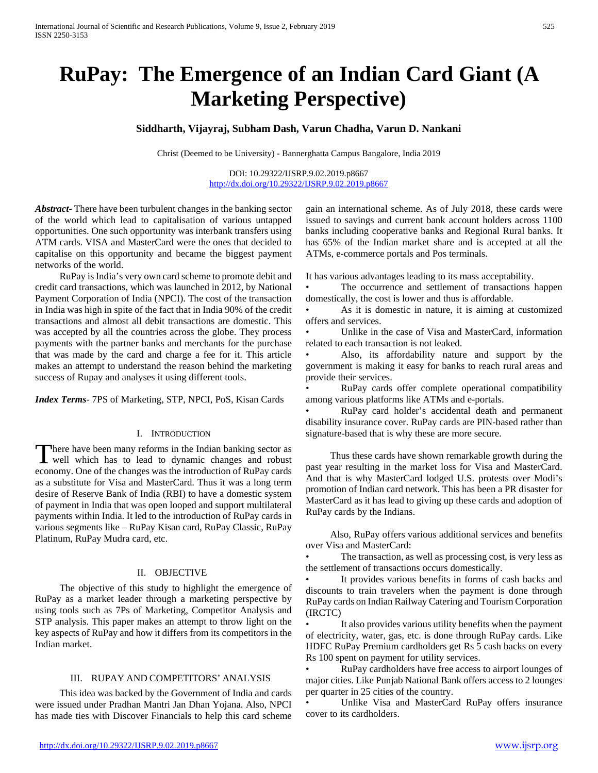# **RuPay: The Emergence of an Indian Card Giant (A Marketing Perspective)**

# **Siddharth, Vijayraj, Subham Dash, Varun Chadha, Varun D. Nankani**

Christ (Deemed to be University) - Bannerghatta Campus Bangalore, India 2019

DOI: 10.29322/IJSRP.9.02.2019.p8667 <http://dx.doi.org/10.29322/IJSRP.9.02.2019.p8667>

*Abstract***-** There have been turbulent changes in the banking sector of the world which lead to capitalisation of various untapped opportunities. One such opportunity was interbank transfers using ATM cards. VISA and MasterCard were the ones that decided to capitalise on this opportunity and became the biggest payment networks of the world.

 RuPay is India's very own card scheme to promote debit and credit card transactions, which was launched in 2012, by National Payment Corporation of India (NPCI). The cost of the transaction in India was high in spite of the fact that in India 90% of the credit transactions and almost all debit transactions are domestic. This was accepted by all the countries across the globe. They process payments with the partner banks and merchants for the purchase that was made by the card and charge a fee for it. This article makes an attempt to understand the reason behind the marketing success of Rupay and analyses it using different tools.

*Index Terms*- 7PS of Marketing, STP, NPCI, PoS, Kisan Cards

# I. INTRODUCTION

here have been many reforms in the Indian banking sector as There have been many reforms in the Indian banking sector as<br>well which has to lead to dynamic changes and robust economy. One of the changes was the introduction of RuPay cards as a substitute for Visa and MasterCard. Thus it was a long term desire of Reserve Bank of India (RBI) to have a domestic system of payment in India that was open looped and support multilateral payments within India. It led to the introduction of RuPay cards in various segments like – RuPay Kisan card, RuPay Classic, RuPay Platinum, RuPay Mudra card, etc.

#### II. OBJECTIVE

 The objective of this study to highlight the emergence of RuPay as a market leader through a marketing perspective by using tools such as 7Ps of Marketing, Competitor Analysis and STP analysis. This paper makes an attempt to throw light on the key aspects of RuPay and how it differs from its competitors in the Indian market.

# III. RUPAY AND COMPETITORS' ANALYSIS

 This idea was backed by the Government of India and cards were issued under Pradhan Mantri Jan Dhan Yojana. Also, NPCI has made ties with Discover Financials to help this card scheme gain an international scheme. As of July 2018, these cards were issued to savings and current bank account holders across 1100 banks including cooperative banks and Regional Rural banks. It has 65% of the Indian market share and is accepted at all the ATMs, e-commerce portals and Pos terminals.

It has various advantages leading to its mass acceptability.

The occurrence and settlement of transactions happen domestically, the cost is lower and thus is affordable.

As it is domestic in nature, it is aiming at customized offers and services.

• Unlike in the case of Visa and MasterCard, information related to each transaction is not leaked.

• Also, its affordability nature and support by the government is making it easy for banks to reach rural areas and provide their services.

• RuPay cards offer complete operational compatibility among various platforms like ATMs and e-portals.

• RuPay card holder's accidental death and permanent disability insurance cover. RuPay cards are PIN-based rather than signature-based that is why these are more secure.

 Thus these cards have shown remarkable growth during the past year resulting in the market loss for Visa and MasterCard. And that is why MasterCard lodged U.S. protests over Modi's promotion of Indian card network. This has been a PR disaster for MasterCard as it has lead to giving up these cards and adoption of RuPay cards by the Indians.

 Also, RuPay offers various additional services and benefits over Visa and MasterCard:

The transaction, as well as processing cost, is very less as the settlement of transactions occurs domestically.

It provides various benefits in forms of cash backs and discounts to train travelers when the payment is done through RuPay cards on Indian Railway Catering and Tourism Corporation (IRCTC)

• It also provides various utility benefits when the payment of electricity, water, gas, etc. is done through RuPay cards. Like HDFC RuPay Premium cardholders get Rs 5 cash backs on every Rs 100 spent on payment for utility services.

• RuPay cardholders have free access to airport lounges of major cities. Like Punjab National Bank offers access to 2 lounges per quarter in 25 cities of the country.

Unlike Visa and MasterCard RuPay offers insurance cover to its cardholders.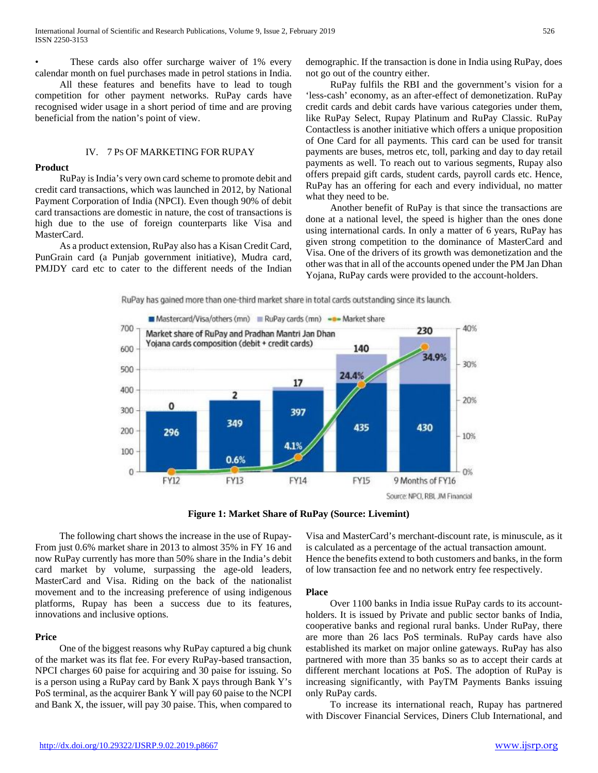These cards also offer surcharge waiver of 1% every calendar month on fuel purchases made in petrol stations in India.

 All these features and benefits have to lead to tough competition for other payment networks. RuPay cards have recognised wider usage in a short period of time and are proving beneficial from the nation's point of view.

#### IV. 7 PS OF MARKETING FOR RUPAY

#### **Product**

 RuPay is India's very own card scheme to promote debit and credit card transactions, which was launched in 2012, by National Payment Corporation of India (NPCI). Even though 90% of debit card transactions are domestic in nature, the cost of transactions is high due to the use of foreign counterparts like Visa and MasterCard.

 As a product extension, RuPay also has a Kisan Credit Card, PunGrain card (a Punjab government initiative), Mudra card, PMJDY card etc to cater to the different needs of the Indian demographic. If the transaction is done in India using RuPay, does not go out of the country either.

 RuPay fulfils the RBI and the government's vision for a 'less-cash' economy, as an after-effect of demonetization. RuPay credit cards and debit cards have various categories under them, like RuPay Select, Rupay Platinum and RuPay Classic. RuPay Contactless is another initiative which offers a unique proposition of One Card for all payments. This card can be used for transit payments are buses, metros etc, toll, parking and day to day retail payments as well. To reach out to various segments, Rupay also offers prepaid gift cards, student cards, payroll cards etc. Hence, RuPay has an offering for each and every individual, no matter what they need to be.

 Another benefit of RuPay is that since the transactions are done at a national level, the speed is higher than the ones done using international cards. In only a matter of 6 years, RuPay has given strong competition to the dominance of MasterCard and Visa. One of the drivers of its growth was demonetization and the other was that in all of the accounts opened under the PM Jan Dhan Yojana, RuPay cards were provided to the account-holders.

RuPay has gained more than one-third market share in total cards outstanding since its launch.



**Figure 1: Market Share of RuPay (Source: Livemint)**

 The following chart shows the increase in the use of Rupay-From just 0.6% market share in 2013 to almost 35% in FY 16 and now RuPay currently has more than 50% share in the India's debit card market by volume, surpassing the age-old leaders, MasterCard and Visa. Riding on the back of the nationalist movement and to the increasing preference of using indigenous platforms, Rupay has been a success due to its features, innovations and inclusive options.

## **Price**

 One of the biggest reasons why RuPay captured a big chunk of the market was its flat fee. For every RuPay-based transaction, NPCI charges 60 paise for acquiring and 30 paise for issuing. So is a person using a RuPay card by Bank X pays through Bank Y's PoS terminal, as the acquirer Bank Y will pay 60 paise to the NCPI and Bank X, the issuer, will pay 30 paise. This, when compared to Visa and MasterCard's merchant-discount rate, is minuscule, as it is calculated as a percentage of the actual transaction amount. Hence the benefits extend to both customers and banks, in the form of low transaction fee and no network entry fee respectively.

#### **Place**

 Over 1100 banks in India issue RuPay cards to its accountholders. It is issued by Private and public sector banks of India, cooperative banks and regional rural banks. Under RuPay, there are more than 26 lacs PoS terminals. RuPay cards have also established its market on major online gateways. RuPay has also partnered with more than 35 banks so as to accept their cards at different merchant locations at PoS. The adoption of RuPay is increasing significantly, with PayTM Payments Banks issuing only RuPay cards.

 To increase its international reach, Rupay has partnered with Discover Financial Services, Diners Club International, and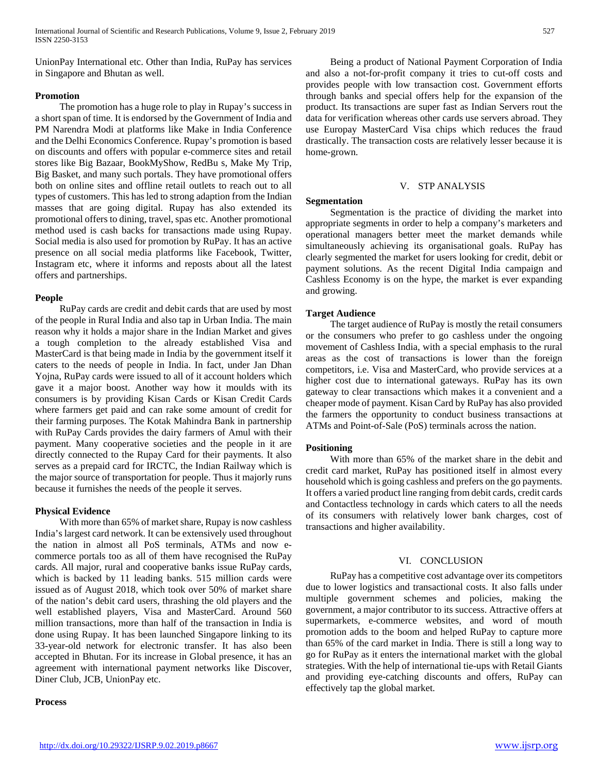UnionPay International etc. Other than India, RuPay has services in Singapore and Bhutan as well.

# **Promotion**

 The promotion has a huge role to play in Rupay's success in a short span of time. It is endorsed by the Government of India and PM Narendra Modi at platforms like Make in India Conference and the Delhi Economics Conference. Rupay's promotion is based on discounts and offers with popular e-commerce sites and retail stores like Big Bazaar, BookMyShow, RedBu s, Make My Trip, Big Basket, and many such portals. They have promotional offers both on online sites and offline retail outlets to reach out to all types of customers. This has led to strong adaption from the Indian masses that are going digital. Rupay has also extended its promotional offers to dining, travel, spas etc. Another promotional method used is cash backs for transactions made using Rupay. Social media is also used for promotion by RuPay. It has an active presence on all social media platforms like Facebook, Twitter, Instagram etc, where it informs and reposts about all the latest offers and partnerships.

# **People**

 RuPay cards are credit and debit cards that are used by most of the people in Rural India and also tap in Urban India. The main reason why it holds a major share in the Indian Market and gives a tough completion to the already established Visa and MasterCard is that being made in India by the government itself it caters to the needs of people in India. In fact, under Jan Dhan Yojna, RuPay cards were issued to all of it account holders which gave it a major boost. Another way how it moulds with its consumers is by providing Kisan Cards or Kisan Credit Cards where farmers get paid and can rake some amount of credit for their farming purposes. The Kotak Mahindra Bank in partnership with RuPay Cards provides the dairy farmers of Amul with their payment. Many cooperative societies and the people in it are directly connected to the Rupay Card for their payments. It also serves as a prepaid card for IRCTC, the Indian Railway which is the major source of transportation for people. Thus it majorly runs because it furnishes the needs of the people it serves.

# **Physical Evidence**

 With more than 65% of market share, Rupay is now cashless India's largest card network. It can be extensively used throughout the nation in almost all PoS terminals, ATMs and now ecommerce portals too as all of them have recognised the RuPay cards. All major, rural and cooperative banks issue RuPay cards, which is backed by 11 leading banks. 515 million cards were issued as of August 2018, which took over 50% of market share of the nation's debit card users, thrashing the old players and the well established players, Visa and MasterCard. Around 560 million transactions, more than half of the transaction in India is done using Rupay. It has been launched Singapore linking to its 33-year-old network for electronic transfer. It has also been accepted in Bhutan. For its increase in Global presence, it has an agreement with international payment networks like Discover, Diner Club, JCB, UnionPay etc.

#### **Process**

 Being a product of National Payment Corporation of India and also a not-for-profit company it tries to cut-off costs and provides people with low transaction cost. Government efforts through banks and special offers help for the expansion of the product. Its transactions are super fast as Indian Servers rout the data for verification whereas other cards use servers abroad. They use Europay MasterCard Visa chips which reduces the fraud drastically. The transaction costs are relatively lesser because it is home-grown.

## V. STP ANALYSIS

# **Segmentation**

 Segmentation is the practice of dividing the market into appropriate segments in order to help a company's marketers and operational managers better meet the market demands while simultaneously achieving its organisational goals. RuPay has clearly segmented the market for users looking for credit, debit or payment solutions. As the recent Digital India campaign and Cashless Economy is on the hype, the market is ever expanding and growing.

## **Target Audience**

 The target audience of RuPay is mostly the retail consumers or the consumers who prefer to go cashless under the ongoing movement of Cashless India, with a special emphasis to the rural areas as the cost of transactions is lower than the foreign competitors, i.e. Visa and MasterCard, who provide services at a higher cost due to international gateways. RuPay has its own gateway to clear transactions which makes it a convenient and a cheaper mode of payment. Kisan Card by RuPay has also provided the farmers the opportunity to conduct business transactions at ATMs and Point-of-Sale (PoS) terminals across the nation.

# **Positioning**

 With more than 65% of the market share in the debit and credit card market, RuPay has positioned itself in almost every household which is going cashless and prefers on the go payments. It offers a varied product line ranging from debit cards, credit cards and Contactless technology in cards which caters to all the needs of its consumers with relatively lower bank charges, cost of transactions and higher availability.

#### VI. CONCLUSION

 RuPay has a competitive cost advantage over its competitors due to lower logistics and transactional costs. It also falls under multiple government schemes and policies, making the government, a major contributor to its success. Attractive offers at supermarkets, e-commerce websites, and word of mouth promotion adds to the boom and helped RuPay to capture more than 65% of the card market in India. There is still a long way to go for RuPay as it enters the international market with the global strategies. With the help of international tie-ups with Retail Giants and providing eye-catching discounts and offers, RuPay can effectively tap the global market.